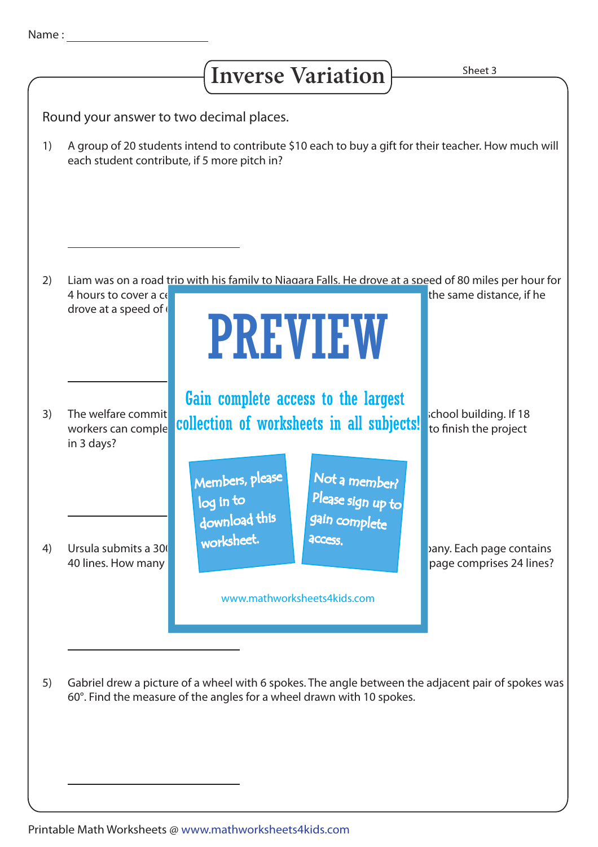